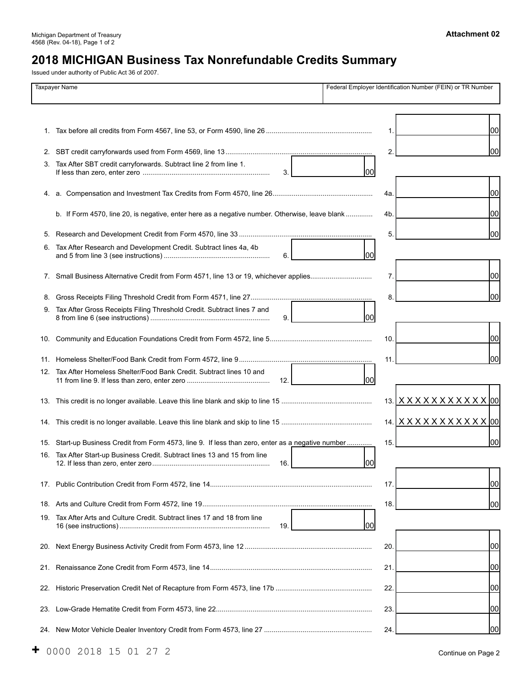Michigan Department of Treasury **Attachment 02**  4568 (Rev. 04-18), Page 1 of 2

# **2018 MICHIGAN Business Tax Nonrefundable Credits Summary**

Issued under authority of Public Act 36 of 2007.

| <b>Taxpayer Name</b> |                                                                                                    | Federal Employer Identification Number (FEIN) or TR Number |    |  |
|----------------------|----------------------------------------------------------------------------------------------------|------------------------------------------------------------|----|--|
|                      |                                                                                                    |                                                            |    |  |
|                      |                                                                                                    |                                                            |    |  |
|                      |                                                                                                    |                                                            | 00 |  |
|                      |                                                                                                    |                                                            |    |  |
|                      |                                                                                                    |                                                            | 00 |  |
| 3.                   | Tax After SBT credit carryforwards. Subtract line 2 from line 1.                                   |                                                            |    |  |
|                      | 3.                                                                                                 | lool                                                       |    |  |
|                      |                                                                                                    | 4a.                                                        | 00 |  |
|                      |                                                                                                    |                                                            |    |  |
|                      | b. If Form 4570, line 20, is negative, enter here as a negative number. Otherwise, leave blank     | 4b.                                                        | 00 |  |
| 5.                   |                                                                                                    | 5.                                                         | 00 |  |
| 6.                   | Tax After Research and Development Credit. Subtract lines 4a, 4b                                   |                                                            |    |  |
|                      | 6.                                                                                                 | 100                                                        |    |  |
|                      |                                                                                                    | 7.                                                         | 00 |  |
|                      |                                                                                                    |                                                            |    |  |
| 8.                   |                                                                                                    | 8.                                                         | 00 |  |
| 9.                   | Tax After Gross Receipts Filing Threshold Credit. Subtract lines 7 and                             | lool                                                       |    |  |
|                      | 9.                                                                                                 |                                                            |    |  |
|                      |                                                                                                    | 10.                                                        | 00 |  |
|                      |                                                                                                    |                                                            |    |  |
|                      |                                                                                                    | 11                                                         | 00 |  |
| 12.                  | Tax After Homeless Shelter/Food Bank Credit. Subtract lines 10 and<br>12.                          | lool                                                       |    |  |
|                      |                                                                                                    |                                                            |    |  |
|                      |                                                                                                    | 13. XXXXXXXXXXX 00                                         |    |  |
|                      |                                                                                                    | 14. XXXXXXXXXXX 00                                         |    |  |
|                      |                                                                                                    |                                                            |    |  |
|                      | 15. Start-up Business Credit from Form 4573, line 9. If less than zero, enter as a negative number | 15.                                                        | 00 |  |
|                      | 16. Tax After Start-up Business Credit. Subtract lines 13 and 15 from line<br>16.                  | 100                                                        |    |  |
|                      |                                                                                                    |                                                            |    |  |
|                      |                                                                                                    | 17.                                                        | 00 |  |
|                      |                                                                                                    | 18.                                                        | 00 |  |
|                      | 19. Tax After Arts and Culture Credit. Subtract lines 17 and 18 from line                          |                                                            |    |  |
|                      | 19.                                                                                                | lool                                                       |    |  |
|                      |                                                                                                    |                                                            |    |  |
|                      |                                                                                                    | 20.                                                        | 00 |  |
|                      |                                                                                                    | 21                                                         | 00 |  |
|                      |                                                                                                    |                                                            |    |  |
|                      |                                                                                                    | 22.                                                        | 00 |  |
|                      |                                                                                                    | 23.                                                        | 00 |  |
|                      |                                                                                                    |                                                            |    |  |
|                      |                                                                                                    | 24                                                         | 00 |  |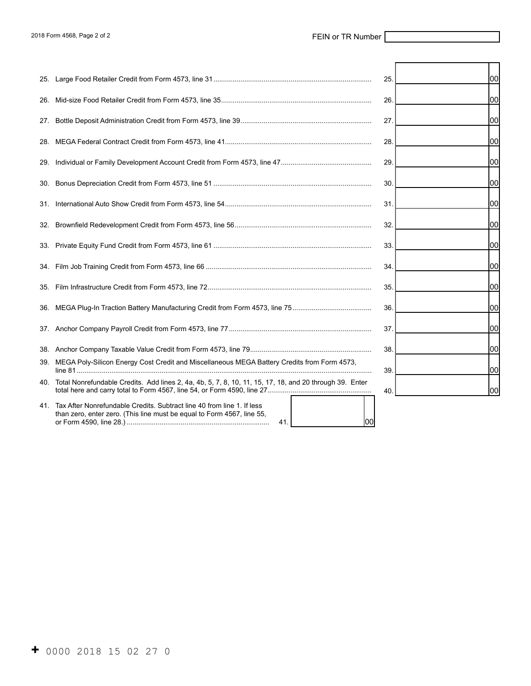|     |                                                                                                                                                      | 25  | 100l |
|-----|------------------------------------------------------------------------------------------------------------------------------------------------------|-----|------|
|     |                                                                                                                                                      | 26  | 100  |
| 27. |                                                                                                                                                      | 27  | 00   |
|     |                                                                                                                                                      | 28  | 00   |
| 29. |                                                                                                                                                      | 29  | 100l |
|     |                                                                                                                                                      | 30  | 00   |
|     |                                                                                                                                                      | 31  | 00   |
|     |                                                                                                                                                      | 32. | 100l |
|     |                                                                                                                                                      | 33. | 100  |
|     |                                                                                                                                                      | 34  | 00   |
|     |                                                                                                                                                      | 35  | lool |
|     |                                                                                                                                                      | 36  | 00   |
|     |                                                                                                                                                      | 37. | 00   |
|     |                                                                                                                                                      | 38  | 100l |
| 39. | MEGA Poly-Silicon Energy Cost Credit and Miscellaneous MEGA Battery Credits from Form 4573,                                                          | 39  | 00   |
|     | 40. Total Nonrefundable Credits. Add lines 2, 4a, 4b, 5, 7, 8, 10, 11, 15, 17, 18, and 20 through 39. Enter                                          | 40  | 00   |
|     | 41. Tax After Nonrefundable Credits. Subtract line 40 from line 1. If less<br>than zero, enter zero. (This line must be equal to Form 4567, line 55, |     |      |

or Form 4590, line 28.) .......................................................................... 41. 00